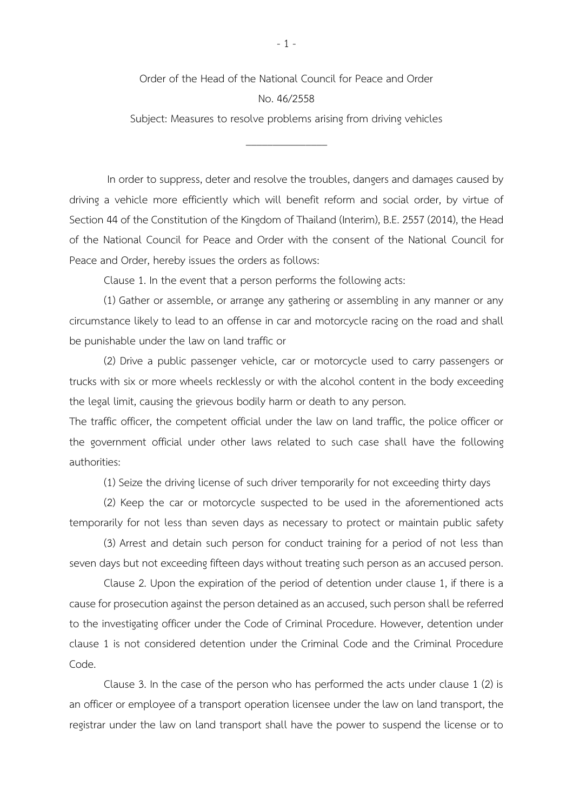Order of the Head of the National Council for Peace and Order

## No. 46/2558

Subject: Measures to resolve problems arising from driving vehicles

\_\_\_\_\_\_\_\_\_\_\_\_\_\_\_

In order to suppress, deter and resolve the troubles, dangers and damages caused by driving a vehicle more efficiently which will benefit reform and social order, by virtue of Section 44 of the Constitution of the Kingdom of Thailand (Interim), B.E. 2557 (2014), the Head of the National Council for Peace and Order with the consent of the National Council for Peace and Order, hereby issues the orders as follows:

Clause 1. In the event that a person performs the following acts:

(1) Gather or assemble, or arrange any gathering or assembling in any manner or any circumstance likely to lead to an offense in car and motorcycle racing on the road and shall be punishable under the law on land traffic or

(2) Drive a public passenger vehicle, car or motorcycle used to carry passengers or trucks with six or more wheels recklessly or with the alcohol content in the body exceeding the legal limit, causing the grievous bodily harm or death to any person.

The traffic officer, the competent official under the law on land traffic, the police officer or the government official under other laws related to such case shall have the following authorities:

(1) Seize the driving license of such driver temporarily for not exceeding thirty days

(2) Keep the car or motorcycle suspected to be used in the aforementioned acts temporarily for not less than seven days as necessary to protect or maintain public safety

(3) Arrest and detain such person for conduct training for a period of not less than seven days but not exceeding fifteen days without treating such person as an accused person.

Clause 2. Upon the expiration of the period of detention under clause 1, if there is a cause for prosecution against the person detained as an accused, such person shall be referred to the investigating officer under the Code of Criminal Procedure. However, detention under clause 1 is not considered detention under the Criminal Code and the Criminal Procedure Code.

Clause 3. In the case of the person who has performed the acts under clause 1 (2) is an officer or employee of a transport operation licensee under the law on land transport, the registrar under the law on land transport shall have the power to suspend the license or to